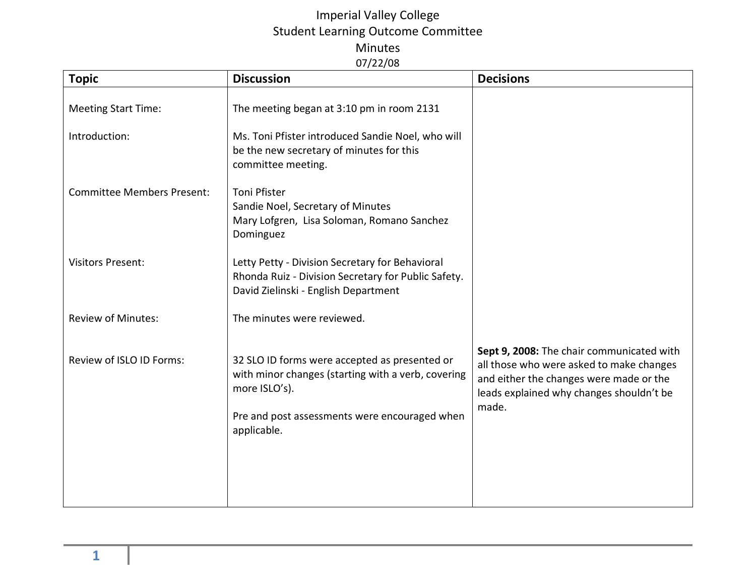| <b>Topic</b>                      | <b>Discussion</b>                                                                                                                              | <b>Decisions</b>                                                                                                                                                                      |
|-----------------------------------|------------------------------------------------------------------------------------------------------------------------------------------------|---------------------------------------------------------------------------------------------------------------------------------------------------------------------------------------|
| <b>Meeting Start Time:</b>        | The meeting began at 3:10 pm in room 2131                                                                                                      |                                                                                                                                                                                       |
| Introduction:                     | Ms. Toni Pfister introduced Sandie Noel, who will<br>be the new secretary of minutes for this<br>committee meeting.                            |                                                                                                                                                                                       |
| <b>Committee Members Present:</b> | <b>Toni Pfister</b><br>Sandie Noel, Secretary of Minutes<br>Mary Lofgren, Lisa Soloman, Romano Sanchez<br>Dominguez                            |                                                                                                                                                                                       |
| <b>Visitors Present:</b>          | Letty Petty - Division Secretary for Behavioral<br>Rhonda Ruiz - Division Secretary for Public Safety.<br>David Zielinski - English Department |                                                                                                                                                                                       |
| <b>Review of Minutes:</b>         | The minutes were reviewed.                                                                                                                     |                                                                                                                                                                                       |
| Review of ISLO ID Forms:          | 32 SLO ID forms were accepted as presented or<br>with minor changes (starting with a verb, covering<br>more ISLO's).                           | Sept 9, 2008: The chair communicated with<br>all those who were asked to make changes<br>and either the changes were made or the<br>leads explained why changes shouldn't be<br>made. |
|                                   | Pre and post assessments were encouraged when<br>applicable.                                                                                   |                                                                                                                                                                                       |
|                                   |                                                                                                                                                |                                                                                                                                                                                       |
|                                   |                                                                                                                                                |                                                                                                                                                                                       |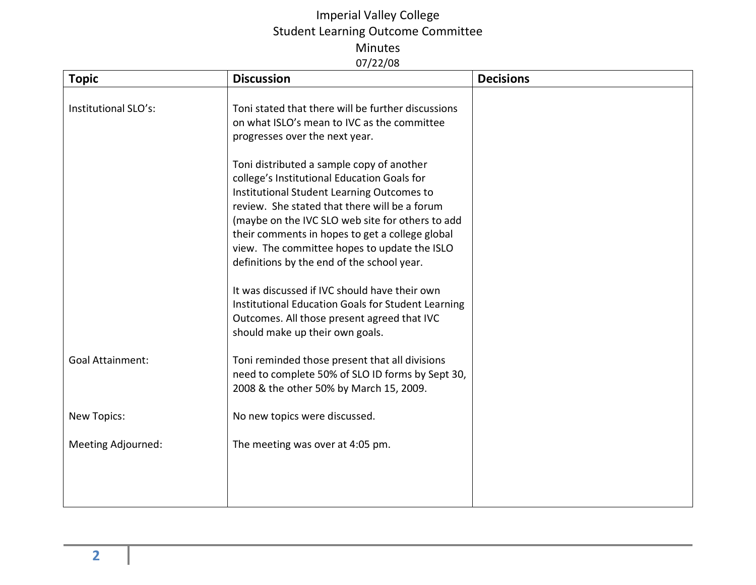| <b>Topic</b>            | <b>Discussion</b>                                                                                                                                                                                                                                                                                                                                                                            | <b>Decisions</b> |
|-------------------------|----------------------------------------------------------------------------------------------------------------------------------------------------------------------------------------------------------------------------------------------------------------------------------------------------------------------------------------------------------------------------------------------|------------------|
| Institutional SLO's:    | Toni stated that there will be further discussions<br>on what ISLO's mean to IVC as the committee<br>progresses over the next year.                                                                                                                                                                                                                                                          |                  |
|                         | Toni distributed a sample copy of another<br>college's Institutional Education Goals for<br>Institutional Student Learning Outcomes to<br>review. She stated that there will be a forum<br>(maybe on the IVC SLO web site for others to add<br>their comments in hopes to get a college global<br>view. The committee hopes to update the ISLO<br>definitions by the end of the school year. |                  |
|                         | It was discussed if IVC should have their own<br>Institutional Education Goals for Student Learning<br>Outcomes. All those present agreed that IVC<br>should make up their own goals.                                                                                                                                                                                                        |                  |
| <b>Goal Attainment:</b> | Toni reminded those present that all divisions<br>need to complete 50% of SLO ID forms by Sept 30,<br>2008 & the other 50% by March 15, 2009.                                                                                                                                                                                                                                                |                  |
| <b>New Topics:</b>      | No new topics were discussed.                                                                                                                                                                                                                                                                                                                                                                |                  |
| Meeting Adjourned:      | The meeting was over at 4:05 pm.                                                                                                                                                                                                                                                                                                                                                             |                  |